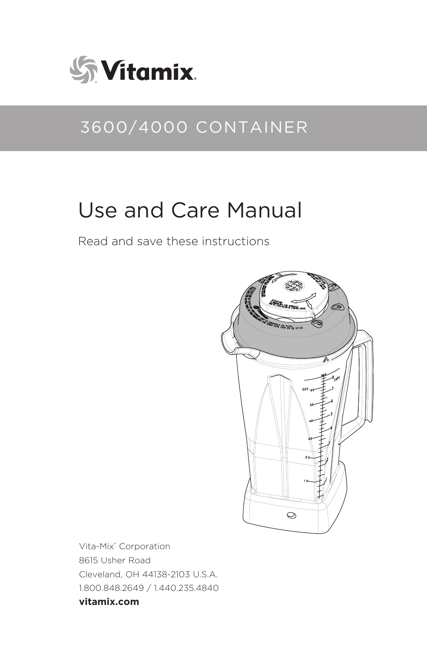

## 3600/4000 CONTAINER

# Use and Care Manual

Read and save these instructions



Vita-Mix® Corporation 8615 Usher Road Cleveland, OH 44138-2103 U.S.A. 1.800.848.2649 / 1.440.235.4840 **vitamix.com**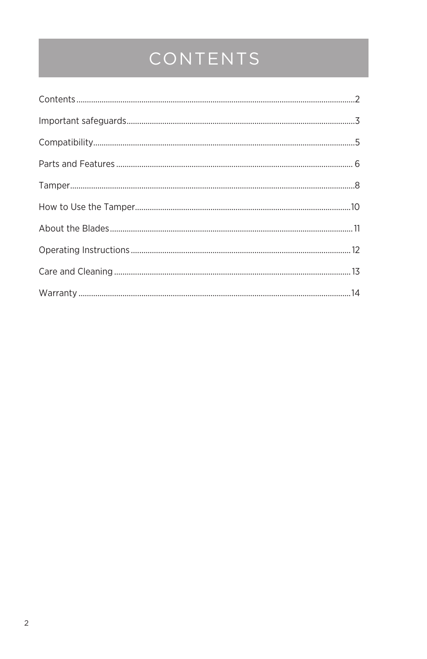# CONTENTS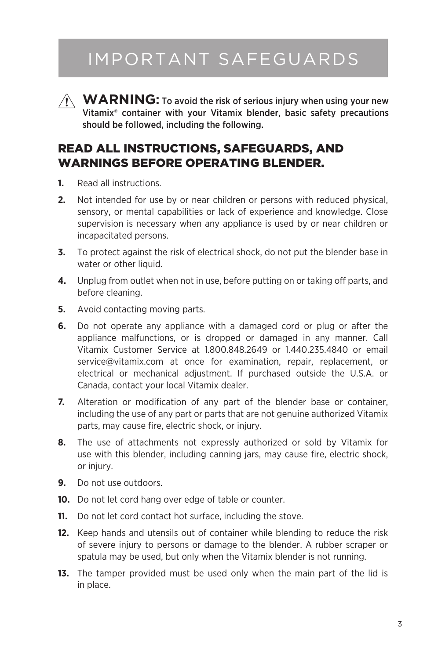## IMPORTANT SAFEGUARDS

 $\hat{A}$  **WARNING:** To avoid the risk of serious injury when using your new Vitamix® container with your Vitamix blender, basic safety precautions should be followed, including the following.

### READ ALL INSTRUCTIONS, SAFEGUARDS, AND WARNINGS BEFORE OPERATING BLENDER.

- **1.** Read all instructions.
- **2.** Not intended for use by or near children or persons with reduced physical, sensory, or mental capabilities or lack of experience and knowledge. Close supervision is necessary when any appliance is used by or near children or incapacitated persons.
- **3.** To protect against the risk of electrical shock, do not put the blender base in water or other liquid.
- **4.** Unplug from outlet when not in use, before putting on or taking off parts, and before cleaning.
- **5.** Avoid contacting moving parts.
- **6.** Do not operate any appliance with a damaged cord or plug or after the appliance malfunctions, or is dropped or damaged in any manner. Call Vitamix Customer Service at 1.800.848.2649 or 1.440.235.4840 or email service@vitamix.com at once for examination, repair, replacement, or electrical or mechanical adjustment. If purchased outside the U.S.A. or Canada, contact your local Vitamix dealer.
- **7.** Alteration or modification of any part of the blender base or container, including the use of any part or parts that are not genuine authorized Vitamix parts, may cause fire, electric shock, or injury.
- **8.** The use of attachments not expressly authorized or sold by Vitamix for use with this blender, including canning jars, may cause fire, electric shock, or injury.
- **9.** Do not use outdoors.
- **10.** Do not let cord hang over edge of table or counter.
- **11.** Do not let cord contact hot surface, including the stove.
- **12.** Keep hands and utensils out of container while blending to reduce the risk of severe injury to persons or damage to the blender. A rubber scraper or spatula may be used, but only when the Vitamix blender is not running.
- **13.** The tamper provided must be used only when the main part of the lid is in place.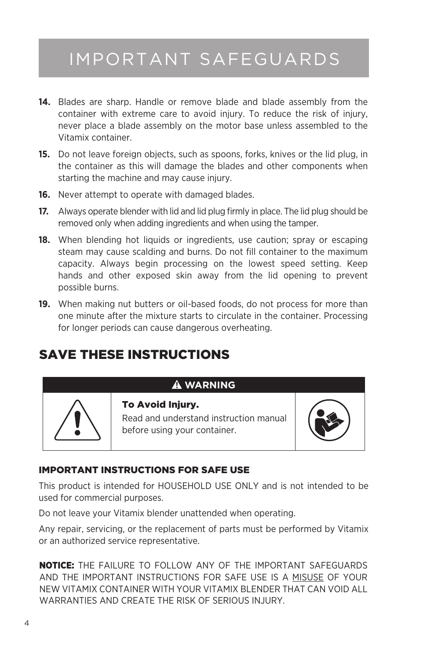## IMPORTANT SAFEGUARDS

- **14.** Blades are sharp. Handle or remove blade and blade assembly from the container with extreme care to avoid injury. To reduce the risk of injury, never place a blade assembly on the motor base unless assembled to the Vitamix container.
- **15.** Do not leave foreign objects, such as spoons, forks, knives or the lid plug, in the container as this will damage the blades and other components when starting the machine and may cause injury.
- **16.** Never attempt to operate with damaged blades.
- **17.** Always operate blender with lid and lid plug firmly in place. The lid plug should be removed only when adding ingredients and when using the tamper.
- **18.** When blending hot liquids or ingredients, use caution; spray or escaping steam may cause scalding and burns. Do not fill container to the maximum capacity. Always begin processing on the lowest speed setting. Keep hands and other exposed skin away from the lid opening to prevent possible burns.
- **19.** When making nut butters or oil-based foods, do not process for more than one minute after the mixture starts to circulate in the container. Processing for longer periods can cause dangerous overheating.

## SAVE THESE INSTRUCTIONS

### **WARNING**



Read and understand instruction manual before using your container.



### IMPORTANT INSTRUCTIONS FOR SAFE USE

To Avoid Injury.

This product is intended for HOUSEHOLD USE ONLY and is not intended to be used for commercial purposes.

Do not leave your Vitamix blender unattended when operating.

Any repair, servicing, or the replacement of parts must be performed by Vitamix or an authorized service representative.

NOTICE: THE FAILURE TO FOLLOW ANY OF THE IMPORTANT SAFEGUARDS AND THE IMPORTANT INSTRUCTIONS FOR SAFE USE IS A MISUSE OF YOUR NEW VITAMIX CONTAINER WITH YOUR VITAMIX BLENDER THAT CAN VOID ALL WARRANTIES AND CREATE THE RISK OF SERIOUS INJURY.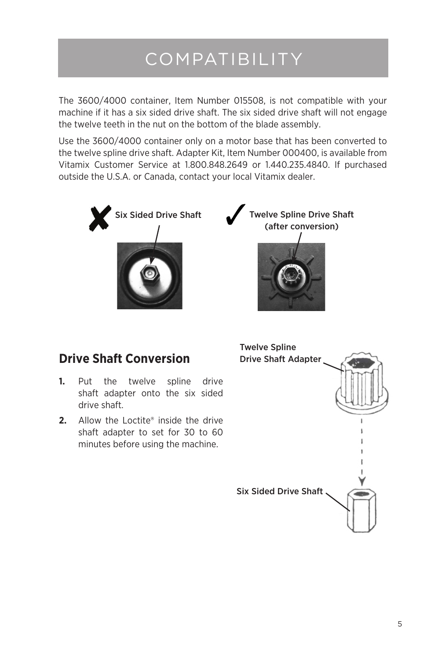# COMPATIBILITY

The 3600/4000 container, Item Number 015508, is not compatible with your machine if it has a six sided drive shaft. The six sided drive shaft will not engage the twelve teeth in the nut on the bottom of the blade assembly.

Use the 3600/4000 container only on a motor base that has been converted to the twelve spline drive shaft. Adapter Kit, Item Number 000400, is available from Vitamix Customer Service at 1.800.848.2649 or 1.440.235.4840. If purchased outside the U.S.A. or Canada, contact your local Vitamix dealer.



### **Drive Shaft Conversion**

- **1.** Put the twelve spline drive shaft adapter onto the six sided drive shaft.
- **2.** Allow the Loctite® inside the drive shaft adapter to set for 30 to 60 minutes before using the machine.

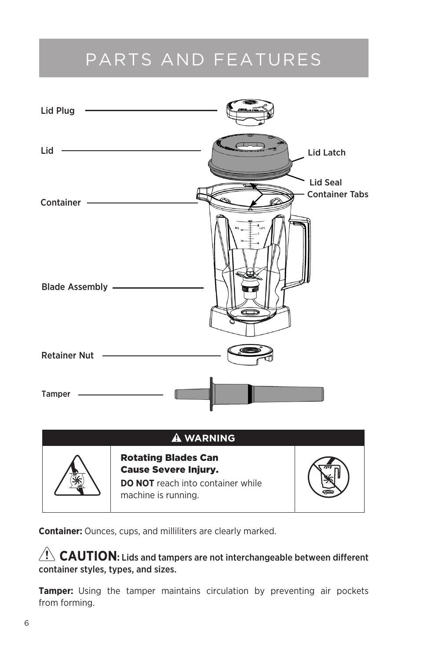## PARTS AND FEATURES



**Container:** Ounces, cups, and milliliters are clearly marked.

### $\langle \cdot | \cdot \rangle$  **CAUTION:** Lids and tampers are not interchangeable between different container styles, types, and sizes.

**Tamper:** Using the tamper maintains circulation by preventing air pockets from forming.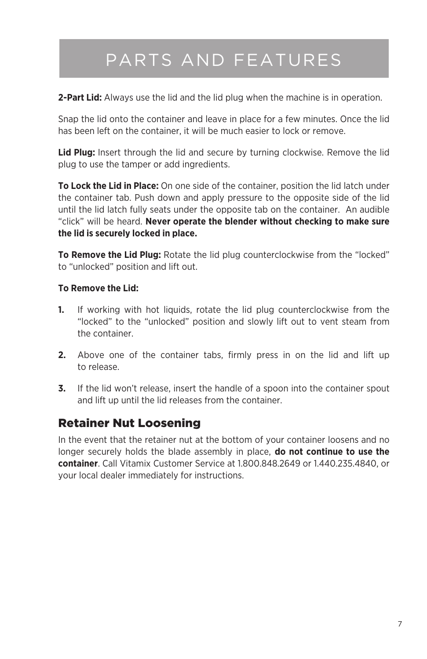# PARTS AND FEATURES

**2-Part Lid:** Always use the lid and the lid plug when the machine is in operation.

Snap the lid onto the container and leave in place for a few minutes. Once the lid has been left on the container, it will be much easier to lock or remove.

**Lid Plug:** Insert through the lid and secure by turning clockwise. Remove the lid plug to use the tamper or add ingredients.

**To Lock the Lid in Place:** On one side of the container, position the lid latch under the container tab. Push down and apply pressure to the opposite side of the lid until the lid latch fully seats under the opposite tab on the container. An audible "click" will be heard. **Never operate the blender without checking to make sure the lid is securely locked in place.**

**To Remove the Lid Plug:** Rotate the lid plug counterclockwise from the "locked" to "unlocked" position and lift out.

#### **To Remove the Lid:**

- **1.** If working with hot liquids, rotate the lid plug counterclockwise from the "locked" to the "unlocked" position and slowly lift out to vent steam from the container.
- **2.** Above one of the container tabs, firmly press in on the lid and lift up to release.
- **3.** If the lid won't release, insert the handle of a spoon into the container spout and lift up until the lid releases from the container.

### Retainer Nut Loosening

In the event that the retainer nut at the bottom of your container loosens and no longer securely holds the blade assembly in place, **do not continue to use the container**. Call Vitamix Customer Service at 1.800.848.2649 or 1.440.235.4840, or your local dealer immediately for instructions.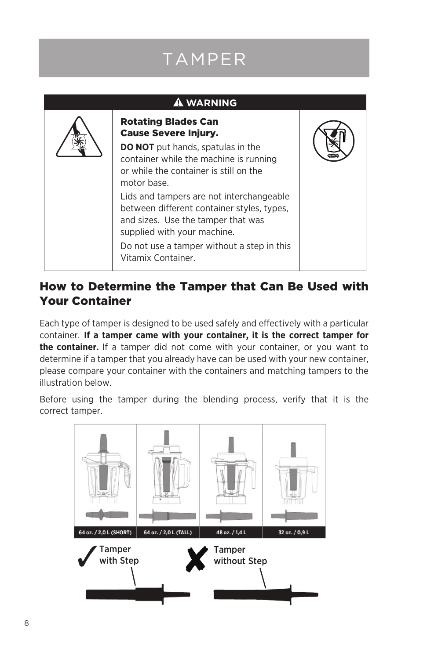# TAMPER

| <b>A WARNING</b> |                                                                                                                                                                                                                                 |  |  |
|------------------|---------------------------------------------------------------------------------------------------------------------------------------------------------------------------------------------------------------------------------|--|--|
|                  | <b>Rotating Blades Can</b><br><b>Cause Severe Injury.</b><br><b>DO NOT</b> put hands, spatulas in the<br>container while the machine is running<br>or while the container is still on the<br>motor base.                        |  |  |
|                  | Lids and tampers are not interchangeable<br>between different container styles, types,<br>and sizes. Use the tamper that was<br>supplied with your machine.<br>Do not use a tamper without a step in this<br>Vitamix Container. |  |  |

### How to Determine the Tamper that Can Be Used with Your Container

Each type of tamper is designed to be used safely and effectively with a particular container. **If a tamper came with your container, it is the correct tamper for the container.** If a tamper did not come with your container, or you want to determine if a tamper that you already have can be used with your new container, please compare your container with the containers and matching tampers to the illustration below.

Before using the tamper during the blending process, verify that it is the correct tamper.

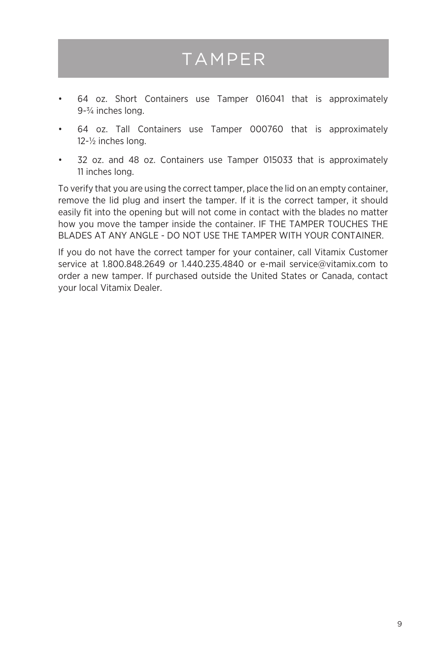## TAMPER

- 64 oz. Short Containers use Tamper 016041 that is approximately 9-¾ inches long.
- • 64 oz. Tall Containers use Tamper 000760 that is approximately 12-½ inches long.
- • 32 oz. and 48 oz. Containers use Tamper 015033 that is approximately 11 inches long.

To verify that you are using the correct tamper, place the lid on an empty container, remove the lid plug and insert the tamper. If it is the correct tamper, it should easily fit into the opening but will not come in contact with the blades no matter how you move the tamper inside the container. IF THE TAMPER TOUCHES THE BLADES AT ANY ANGLE - DO NOT USE THE TAMPER WITH YOUR CONTAINER.

If you do not have the correct tamper for your container, call Vitamix Customer service at 1.800.848.2649 or 1.440.235.4840 or e-mail service@vitamix.com to order a new tamper. If purchased outside the United States or Canada, contact your local Vitamix Dealer.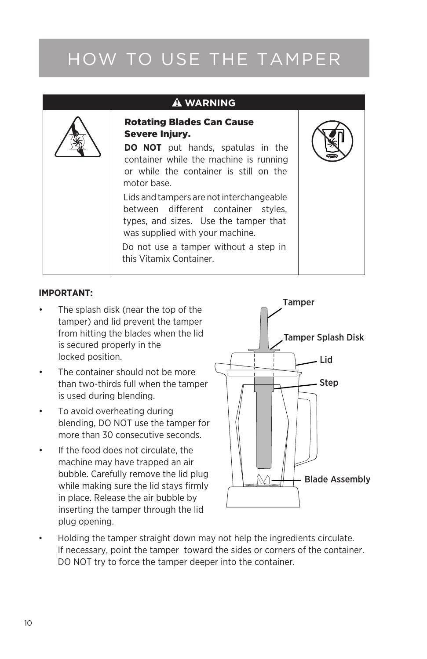# HOW TO USE THE TAMPER

| <b>A WARNING</b> |                                                                                                                                                                                                                                                                                                                                                                                                                                             |  |
|------------------|---------------------------------------------------------------------------------------------------------------------------------------------------------------------------------------------------------------------------------------------------------------------------------------------------------------------------------------------------------------------------------------------------------------------------------------------|--|
|                  | <b>Rotating Blades Can Cause</b><br><b>Severe Injury.</b><br><b>DO NOT</b> put hands, spatulas in the<br>container while the machine is running<br>or while the container is still on the<br>motor base.<br>Lids and tampers are not interchangeable<br>between different container styles,<br>types, and sizes. Use the tamper that<br>was supplied with your machine.<br>Do not use a tamper without a step in<br>this Vitamix Container. |  |
|                  |                                                                                                                                                                                                                                                                                                                                                                                                                                             |  |

#### **IMPORTANT:**

- The splash disk (near the top of the tamper) and lid prevent the tamper from hitting the blades when the lid is secured properly in the locked position.
- The container should not be more than two-thirds full when the tamper is used during blending.
- • To avoid overheating during blending, DO NOT use the tamper for more than 30 consecutive seconds.
- If the food does not circulate, the machine may have trapped an air bubble. Carefully remove the lid plug while making sure the lid stays firmly in place. Release the air bubble by inserting the tamper through the lid plug opening.



Holding the tamper straight down may not help the ingredients circulate. If necessary, point the tamper toward the sides or corners of the container. DO NOT try to force the tamper deeper into the container.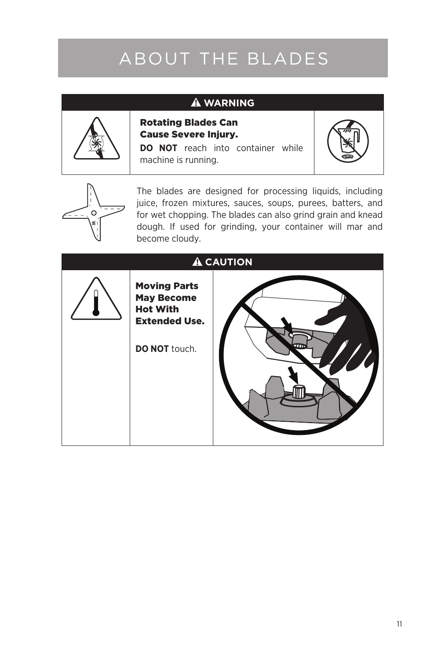# ABOUT THE BLADES

### **WARNING**



Rotating Blades Can Cause Severe Injury.

**DO NOT** reach into container while machine is running.





The blades are designed for processing liquids, including juice, frozen mixtures, sauces, soups, purees, batters, and for wet chopping. The blades can also grind grain and knead dough. If used for grinding, your container will mar and become cloudy.

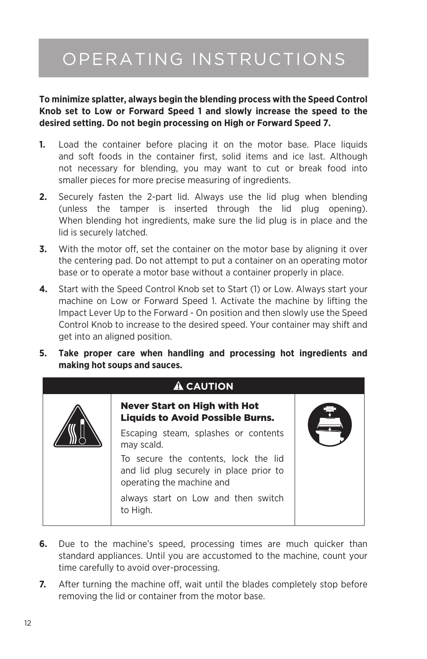## OPERATING INSTRUCTIONS

**To minimize splatter, always begin the blending process with the Speed Control Knob set to Low or Forward Speed 1 and slowly increase the speed to the desired setting. Do not begin processing on High or Forward Speed 7.**

- **1.** Load the container before placing it on the motor base. Place liquids and soft foods in the container first, solid items and ice last. Although not necessary for blending, you may want to cut or break food into smaller pieces for more precise measuring of ingredients.
- **2.** Securely fasten the 2-part lid. Always use the lid plug when blending (unless the tamper is inserted through the lid plug opening). When blending hot ingredients, make sure the lid plug is in place and the lid is securely latched.
- **3.** With the motor off, set the container on the motor base by aligning it over the centering pad. Do not attempt to put a container on an operating motor base or to operate a motor base without a container properly in place.
- **4.** Start with the Speed Control Knob set to Start (1) or Low. Always start your machine on Low or Forward Speed 1. Activate the machine by lifting the Impact Lever Up to the Forward - On position and then slowly use the Speed Control Knob to increase to the desired speed. Your container may shift and get into an aligned position.
- **5. Take proper care when handling and processing hot ingredients and making hot soups and sauces.**

| <b>A CAUTION</b> |                                                                                                              |  |  |  |
|------------------|--------------------------------------------------------------------------------------------------------------|--|--|--|
|                  | Never Start on High with Hot<br><b>Liquids to Avoid Possible Burns.</b>                                      |  |  |  |
|                  | Escaping steam, splashes or contents<br>may scald.                                                           |  |  |  |
|                  | To secure the contents, lock the lid<br>and lid plug securely in place prior to<br>operating the machine and |  |  |  |
|                  | always start on Low and then switch<br>to High.                                                              |  |  |  |

- **6.** Due to the machine's speed, processing times are much quicker than standard appliances. Until you are accustomed to the machine, count your time carefully to avoid over-processing.
- **7.** After turning the machine off, wait until the blades completely stop before removing the lid or container from the motor base.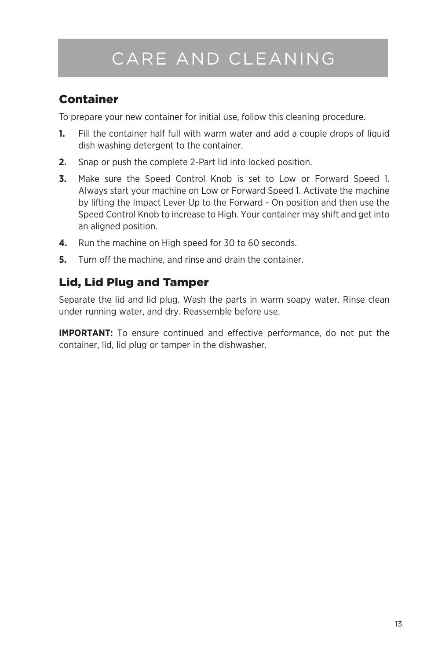## CARE AND CLEANING

### Container

To prepare your new container for initial use, follow this cleaning procedure.

- **1.** Fill the container half full with warm water and add a couple drops of liquid dish washing detergent to the container.
- **2.** Snap or push the complete 2-Part lid into locked position.
- **3.** Make sure the Speed Control Knob is set to Low or Forward Speed 1. Always start your machine on Low or Forward Speed 1. Activate the machine by lifting the Impact Lever Up to the Forward - On position and then use the Speed Control Knob to increase to High. Your container may shift and get into an aligned position.
- **4.** Run the machine on High speed for 30 to 60 seconds.
- **5.** Turn off the machine, and rinse and drain the container.

### Lid, Lid Plug and Tamper

Separate the lid and lid plug. Wash the parts in warm soapy water. Rinse clean under running water, and dry. Reassemble before use.

**IMPORTANT:** To ensure continued and effective performance, do not put the container, lid, lid plug or tamper in the dishwasher.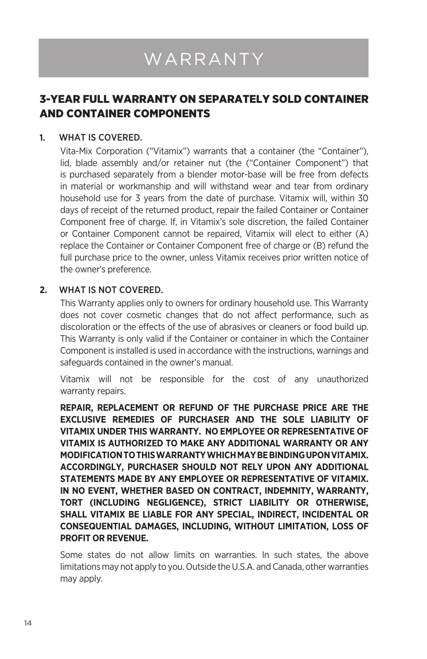# WARRANTY

### 3-YEAR FULL WARRANTY ON SEPARATELY SOLD CONTAINER AND CONTAINER COMPONENTS

#### **1.** WHAT IS COVERED.

Vita-Mix Corporation ("Vitamix") warrants that a container (the "Container"), lid, blade assembly and/or retainer nut (the ("Container Component") that is purchased separately from a blender motor-base will be free from defects in material or workmanship and will withstand wear and tear from ordinary household use for 3 years from the date of purchase. Vitamix will, within 30 days of receipt of the returned product, repair the failed Container or Container Component free of charge. If, in Vitamix's sole discretion, the failed Container or Container Component cannot be repaired, Vitamix will elect to either (A) replace the Container or Container Component free of charge or (B) refund the full purchase price to the owner, unless Vitamix receives prior written notice of the owner's preference.

#### **2.** WHAT IS NOT COVERED.

This Warranty applies only to owners for ordinary household use. This Warranty does not cover cosmetic changes that do not affect performance, such as discoloration or the effects of the use of abrasives or cleaners or food build up. This Warranty is only valid if the Container or container in which the Container Component is installed is used in accordance with the instructions, warnings and safeguards contained in the owner's manual.

Vitamix will not be responsible for the cost of any unauthorized warranty repairs.

**REPAIR, REPLACEMENT OR REFUND OF THE PURCHASE PRICE ARE THE EXCLUSIVE REMEDIES OF PURCHASER AND THE SOLE LIABILITY OF VITAMIX UNDER THIS WARRANTY. NO EMPLOYEE OR REPRESENTATIVE OF VITAMIX IS AUTHORIZED TO MAKE ANY ADDITIONAL WARRANTY OR ANY MODIFICATION TO THIS WARRANTY WHICH MAY BE BINDING UPON VITAMIX. ACCORDINGLY, PURCHASER SHOULD NOT RELY UPON ANY ADDITIONAL STATEMENTS MADE BY ANY EMPLOYEE OR REPRESENTATIVE OF VITAMIX. IN NO EVENT, WHETHER BASED ON CONTRACT, INDEMNITY, WARRANTY, TORT (INCLUDING NEGLIGENCE), STRICT LIABILITY OR OTHERWISE, SHALL VITAMIX BE LIABLE FOR ANY SPECIAL, INDIRECT, INCIDENTAL OR CONSEQUENTIAL DAMAGES, INCLUDING, WITHOUT LIMITATION, LOSS OF PROFIT OR REVENUE.** 

Some states do not allow limits on warranties. In such states, the above limitations may not apply to you. Outside the U.S.A. and Canada, other warranties may apply.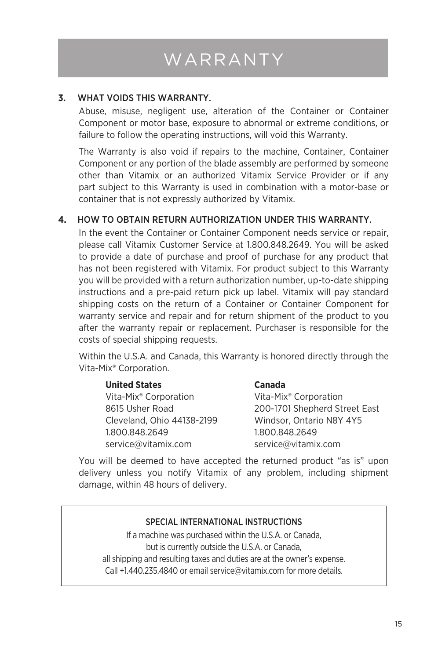## WARRANTY

#### **3.** WHAT VOIDS THIS WARRANTY.

Abuse, misuse, negligent use, alteration of the Container or Container Component or motor base, exposure to abnormal or extreme conditions, or failure to follow the operating instructions, will void this Warranty.

The Warranty is also void if repairs to the machine, Container, Container Component or any portion of the blade assembly are performed by someone other than Vitamix or an authorized Vitamix Service Provider or if any part subject to this Warranty is used in combination with a motor-base or container that is not expressly authorized by Vitamix.

#### **4.** HOW TO OBTAIN RETURN AUTHORIZATION UNDER THIS WARRANTY.

In the event the Container or Container Component needs service or repair, please call Vitamix Customer Service at 1.800.848.2649. You will be asked to provide a date of purchase and proof of purchase for any product that has not been registered with Vitamix. For product subject to this Warranty you will be provided with a return authorization number, up-to-date shipping instructions and a pre-paid return pick up label. Vitamix will pay standard shipping costs on the return of a Container or Container Component for warranty service and repair and for return shipment of the product to you after the warranty repair or replacement. Purchaser is responsible for the costs of special shipping requests.

Within the U.S.A. and Canada, this Warranty is honored directly through the Vita-Mix® Corporation.

| <b>United States</b>              | <b>Canada</b>                     |
|-----------------------------------|-----------------------------------|
| Vita-Mix <sup>®</sup> Corporation | Vita-Mix <sup>®</sup> Corporation |
| 8615 Usher Road                   | 200-1701 Shepherd Street East     |
| Cleveland, Ohio 44138-2199        | Windsor, Ontario N8Y 4Y5          |
| 1.800.848.2649                    | 1.800.848.2649                    |
| service@vitamix.com               | service@vitamix.com               |

You will be deemed to have accepted the returned product "as is" upon delivery unless you notify Vitamix of any problem, including shipment damage, within 48 hours of delivery.

#### SPECIAL INTERNATIONAL INSTRUCTIONS

If a machine was purchased within the U.S.A. or Canada, but is currently outside the U.S.A. or Canada, all shipping and resulting taxes and duties are at the owner's expense. Call +1.440.235.4840 or email service@vitamix.com for more details.